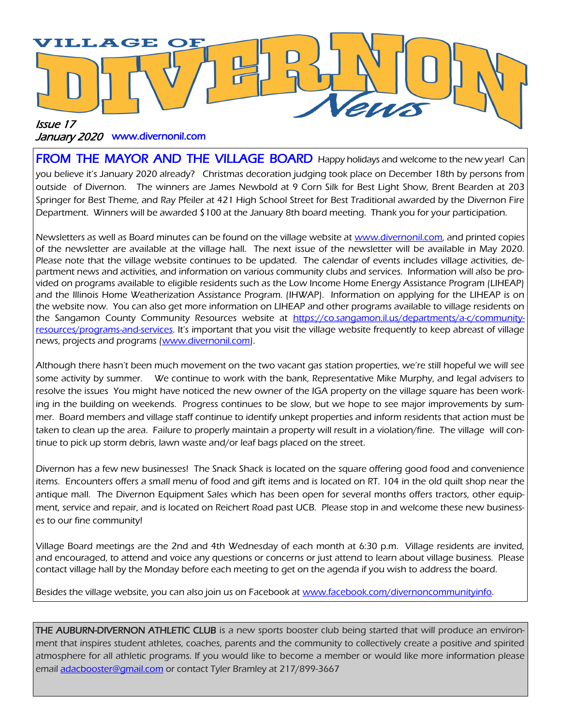

#### January 2020 www.divernonil.com

**FROM THE MAYOR AND THE VILLAGE BOARD** Happy holidays and welcome to the new year! Can you believe it's January 2020 already? Christmas decoration judging took place on December 18th by persons from outside of Divernon. The winners are James Newbold at 9 Corn Silk for Best Light Show, Brent Bearden at 203 Springer for Best Theme, and Ray Pfeiler at 421 High School Street for Best Traditional awarded by the Divernon Fire Department. Winners will be awarded \$100 at the January 8th board meeting. Thank you for your participation.

Newsletters as well as Board minutes can be found on the village website at [www.divernonil.com,](http://www.divernonil.com) and printed copies of the newsletter are available at the village hall. The next issue of the newsletter will be available in May 2020. Please note that the village website continues to be updated. The calendar of events includes village activities, department news and activities, and information on various community clubs and services. Information will also be provided on programs available to eligible residents such as the Low Income Home Energy Assistance Program (LIHEAP) and the Illinois Home Weatherization Assistance Program. (IHWAP). Information on applying for the LIHEAP is on the website now. You can also get more information on LIHEAP and other programs available to village residents on the Sangamon County Community Resources website at [https://co.sangamon.il.us/departments/a-c/community](https://co.sangamon.il.us/departments/a-c/community-resources/programs-and-services)[resources/programs-and-services](https://co.sangamon.il.us/departments/a-c/community-resources/programs-and-services). It's important that you visit the village website frequently to keep abreast of village news, projects and programs ([www.divernonil.com\)](http://www.divernonil.com).

Although there hasn't been much movement on the two vacant gas station properties, we're still hopeful we will see some activity by summer. We continue to work with the bank, Representative Mike Murphy, and legal advisers to resolve the issues You might have noticed the new owner of the IGA property on the village square has been working in the building on weekends. Progress continues to be slow, but we hope to see major improvements by summer. Board members and village staff continue to identify unkept properties and inform residents that action must be taken to clean up the area. Failure to properly maintain a property will result in a violation/fine. The village will continue to pick up storm debris, lawn waste and/or leaf bags placed on the street.

Divernon has a few new businesses! The Snack Shack is located on the square offering good food and convenience items. Encounters offers a small menu of food and gift items and is located on RT. 104 in the old quilt shop near the antique mall. The Divernon Equipment Sales which has been open for several months offers tractors, other equipment, service and repair, and is located on Reichert Road past UCB. Please stop in and welcome these new businesses to our fine community!

Village Board meetings are the 2nd and 4th Wednesday of each month at 6:30 p.m. Village residents are invited, and encouraged, to attend and voice any questions or concerns or just attend to learn about village business. Please contact village hall by the Monday before each meeting to get on the agenda if you wish to address the board.

Besides the village website, you can also join us on Facebook at [www.facebook.com/divernoncommunityinfo.](http://www.facebook.com/divernoncommunityinfo)

THE AUBURN-DIVERNON ATHLETIC CLUB is a new sports booster club being started that will produce an environment that inspires student athletes, coaches, parents and the community to collectively create a positive and spirited atmosphere for all athletic programs. If you would like to become a member or would like more information please email [adacbooster@gmail.com](mailto:adacbooster@gmail.com) or contact Tyler Bramley at 217/899-3667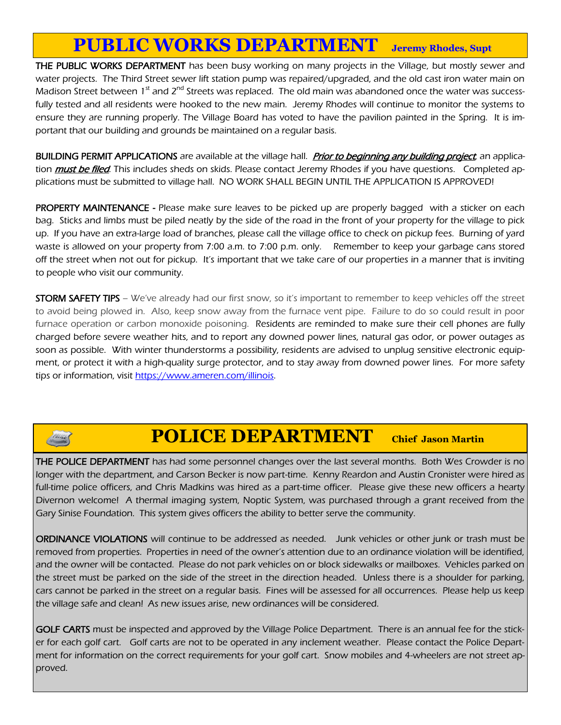## **PUBLIC WORKS DEPARTMENT Jeremy Rhodes, Supt**

THE PUBLIC WORKS DEPARTMENT has been busy working on many projects in the Village, but mostly sewer and water projects. The Third Street sewer lift station pump was repaired/upgraded, and the old cast iron water main on Madison Street between 1<sup>st</sup> and 2<sup>nd</sup> Streets was replaced. The old main was abandoned once the water was successfully tested and all residents were hooked to the new main. Jeremy Rhodes will continue to monitor the systems to ensure they are running properly. The Village Board has voted to have the pavilion painted in the Spring. It is important that our building and grounds be maintained on a regular basis.

BUILDING PERMIT APPLICATIONS are available at the village hall. Prior to beginning any building project, an application *must be filed*. This includes sheds on skids. Please contact Jeremy Rhodes if you have questions. Completed applications must be submitted to village hall. NO WORK SHALL BEGIN UNTIL THE APPLICATION IS APPROVED!

**PROPERTY MAINTENANCE** - Please make sure leaves to be picked up are properly bagged with a sticker on each bag. Sticks and limbs must be piled neatly by the side of the road in the front of your property for the village to pick up. If you have an extra-large load of branches, please call the village office to check on pickup fees. Burning of yard waste is allowed on your property from 7:00 a.m. to 7:00 p.m. only. Remember to keep your garbage cans stored off the street when not out for pickup. It's important that we take care of our properties in a manner that is inviting to people who visit our community.

**STORM SAFETY TIPS** – We've already had our first snow, so it's important to remember to keep vehicles off the street to avoid being plowed in. Also, keep snow away from the furnace vent pipe. Failure to do so could result in poor furnace operation or carbon monoxide poisoning. Residents are reminded to make sure their cell phones are fully charged before severe weather hits, and to report any downed power lines, natural gas odor, or power outages as soon as possible. With winter thunderstorms a possibility, residents are advised to unplug sensitive electronic equipment, or protect it with a high-quality surge protector, and to stay away from downed power lines. For more safety tips or information, visit [https://www.ameren.com/illinois.](https://www.ameren.com/illinois)

## **POLICE DEPARTMENT Chief Jason Martin**

**THE POLICE DEPARTMENT** has had some personnel changes over the last several months. Both Wes Crowder is no longer with the department, and Carson Becker is now part-time. Kenny Reardon and Austin Cronister were hired as full-time police officers, and Chris Madkins was hired as a part-time officer. Please give these new officers a hearty Divernon welcome! A thermal imaging system, Noptic System, was purchased through a grant received from the Gary Sinise Foundation. This system gives officers the ability to better serve the community.

ORDINANCE VIOLATIONS will continue to be addressed as needed. Junk vehicles or other junk or trash must be removed from properties. Properties in need of the owner's attention due to an ordinance violation will be identified, and the owner will be contacted. Please do not park vehicles on or block sidewalks or mailboxes. Vehicles parked on the street must be parked on the side of the street in the direction headed. Unless there is a shoulder for parking, cars cannot be parked in the street on a regular basis. Fines will be assessed for all occurrences. Please help us keep the village safe and clean! As new issues arise, new ordinances will be considered.

GOLF CARTS must be inspected and approved by the Village Police Department. There is an annual fee for the sticker for each golf cart. Golf carts are not to be operated in any inclement weather. Please contact the Police Department for information on the correct requirements for your golf cart. Snow mobiles and 4-wheelers are not street approved.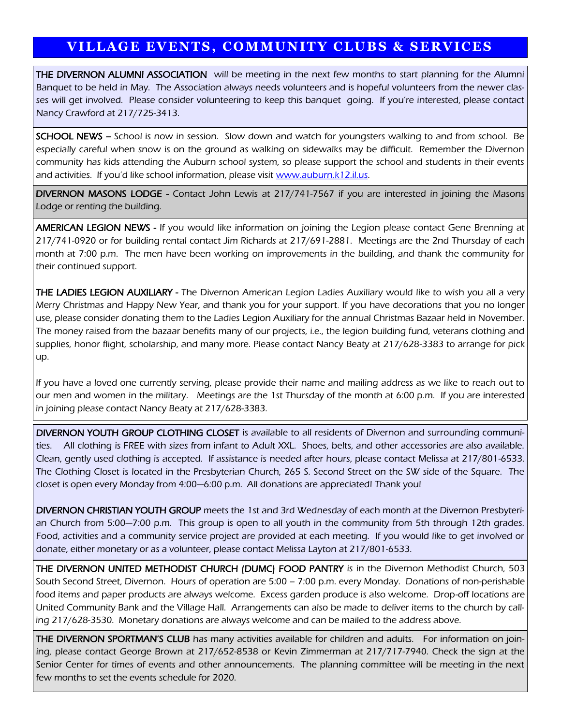### **VILLAGE EVENTS, COMMUNITY CLUBS & SERVICES**

THE DIVERNON ALUMNI ASSOCIATION will be meeting in the next few months to start planning for the Alumni Banquet to be held in May. The Association always needs volunteers and is hopeful volunteers from the newer classes will get involved. Please consider volunteering to keep this banquet going. If you're interested, please contact Nancy Crawford at 217/725-3413.

SCHOOL NEWS - School is now in session. Slow down and watch for youngsters walking to and from school. Be especially careful when snow is on the ground as walking on sidewalks may be difficult. Remember the Divernon community has kids attending the Auburn school system, so please support the school and students in their events and activities. If you'd like school information, please visit www.auburn.k12.il.us.

DIVERNON MASONS LODGE - Contact John Lewis at 217/741-7567 if you are interested in joining the Masons Lodge or renting the building.

AMERICAN LEGION NEWS - If you would like information on joining the Legion please contact Gene Brenning at 217/741-0920 or for building rental contact Jim Richards at 217/691-2881. Meetings are the 2nd Thursday of each month at 7:00 p.m. The men have been working on improvements in the building, and thank the community for their continued support.

THE LADIES LEGION AUXILIARY - The Divernon American Legion Ladies Auxiliary would like to wish you all a very Merry Christmas and Happy New Year, and thank you for your support. If you have decorations that you no longer use, please consider donating them to the Ladies Legion Auxiliary for the annual Christmas Bazaar held in November. The money raised from the bazaar benefits many of our projects, i.e., the legion building fund, veterans clothing and supplies, honor flight, scholarship, and many more. Please contact Nancy Beaty at 217/628-3383 to arrange for pick up.

If you have a loved one currently serving, please provide their name and mailing address as we like to reach out to our men and women in the military. Meetings are the 1st Thursday of the month at 6:00 p.m. If you are interested in joining please contact Nancy Beaty at 217/628-3383.

DIVERNON YOUTH GROUP CLOTHING CLOSET is available to all residents of Divernon and surrounding communities. All clothing is FREE with sizes from infant to Adult XXL. Shoes, belts, and other accessories are also available. Clean, gently used clothing is accepted. If assistance is needed after hours, please contact Melissa at 217/801-6533. The Clothing Closet is located in the Presbyterian Church, 265 S. Second Street on the SW side of the Square. The closet is open every Monday from 4:00—6:00 p.m. All donations are appreciated! Thank you!

DIVERNON CHRISTIAN YOUTH GROUP meets the 1st and 3rd Wednesday of each month at the Divernon Presbyterian Church from 5:00—7:00 p.m. This group is open to all youth in the community from 5th through 12th grades. Food, activities and a community service project are provided at each meeting. If you would like to get involved or donate, either monetary or as a volunteer, please contact Melissa Layton at 217/801-6533.

THE DIVERNON UNITED METHODIST CHURCH (DUMC) FOOD PANTRY is in the Divernon Methodist Church, 503 South Second Street, Divernon. Hours of operation are 5:00 – 7:00 p.m. every Monday. Donations of non-perishable food items and paper products are always welcome. Excess garden produce is also welcome. Drop-off locations are United Community Bank and the Village Hall. Arrangements can also be made to deliver items to the church by calling 217/628-3530. Monetary donations are always welcome and can be mailed to the address above.

THE DIVERNON SPORTMAN'S CLUB has many activities available for children and adults. For information on joining, please contact George Brown at 217/652-8538 or Kevin Zimmerman at 217/717-7940. Check the sign at the Senior Center for times of events and other announcements. The planning committee will be meeting in the next few months to set the events schedule for 2020.